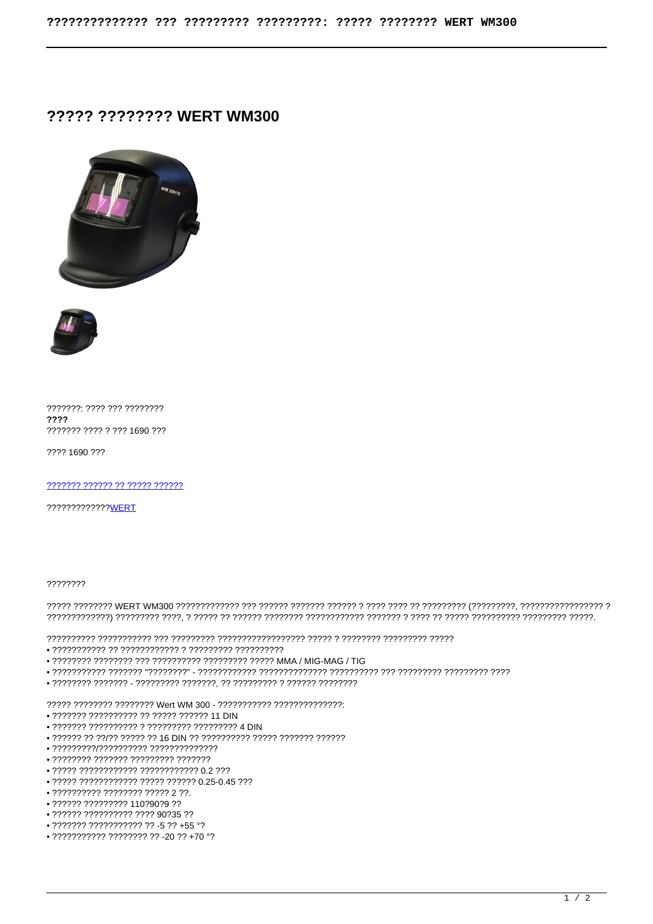## ????? ???????? WERT WM300





???????: ???? ??? ???????? ???? ??????? ???? ? ??? 1690 ???

???? 1690 ???

7777777 777777 77 77777 777777

?????????????<mark>WERT</mark>

77777777

- 
- 
- 
- 

- ??????? ?????????? ?? ????? ?????? 11 DIN
- 
- . 222222 22 22/22 22222 22: 16 DIN 22 2222222222 222222 222222 .
- 
- ???????? ??????? ????????? ???????
- ????? ???????????? ???????????? 0.2 ???
- ????? ???????????? ????? ?????? 0.25-0.45 ???
- $\bullet$  2222222222 222222222222222
- ?????? ????????? 110?90?9 ??
- ?????? ?????????? ???? 90?35 ??
- $\bullet$  ??????? ??????????? ?? -5 ?? +55 °?
- $\bullet$  ??????????? ???????? ?? -20 ?? +70 °?